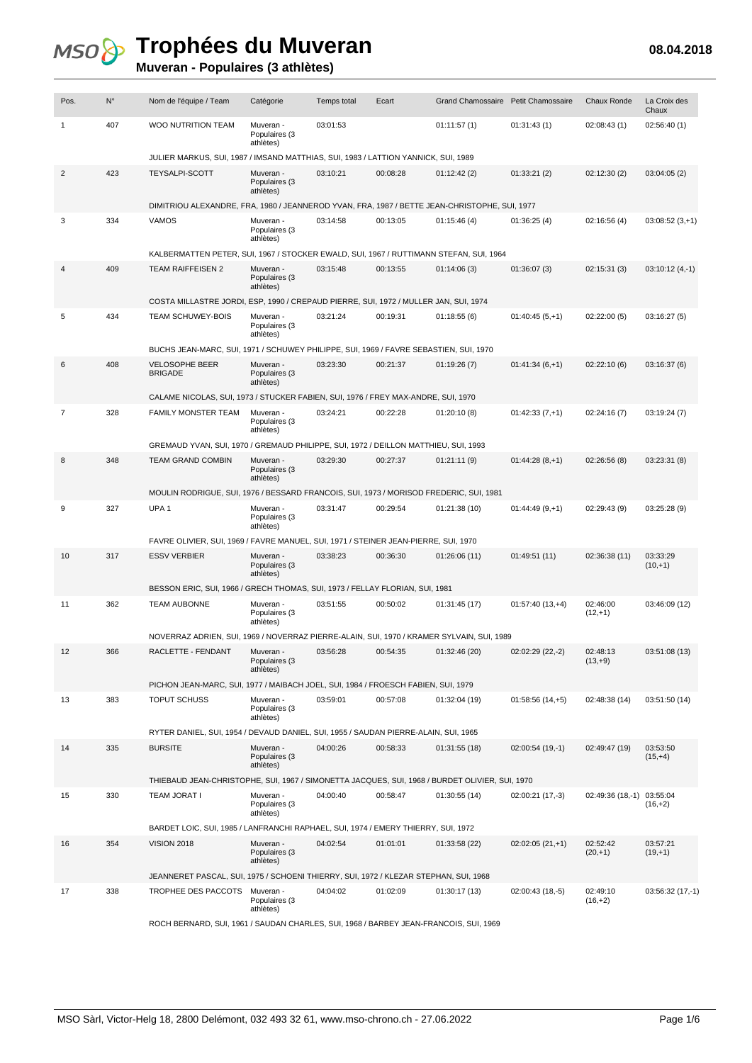#### **Muveran - Populaires (3 athlètes)**

| Pos.           | $N^{\circ}$ | Nom de l'équipe / Team                                                                         | Catégorie                               | <b>Temps total</b> | Ecart    | Grand Chamossaire Petit Chamossaire |                   | <b>Chaux Ronde</b>     | La Croix des<br>Chaux  |  |  |
|----------------|-------------|------------------------------------------------------------------------------------------------|-----------------------------------------|--------------------|----------|-------------------------------------|-------------------|------------------------|------------------------|--|--|
| 1              | 407         | <b>WOO NUTRITION TEAM</b>                                                                      | Muveran -<br>Populaires (3<br>athlètes) | 03:01:53           |          | 01:11:57(1)                         | 01:31:43(1)       | 02:08:43(1)            | 02:56:40(1)            |  |  |
|                |             | JULIER MARKUS, SUI, 1987 / IMSAND MATTHIAS, SUI, 1983 / LATTION YANNICK, SUI, 1989             |                                         |                    |          |                                     |                   |                        |                        |  |  |
| 2              | 423         | <b>TEYSALPI-SCOTT</b>                                                                          | Muveran -<br>Populaires (3<br>athlètes) | 03:10:21           | 00:08:28 | 01:12:42(2)                         | 01:33:21(2)       | 02:12:30(2)            | 03:04:05(2)            |  |  |
|                |             | DIMITRIOU ALEXANDRE, FRA, 1980 / JEANNEROD YVAN, FRA, 1987 / BETTE JEAN-CHRISTOPHE, SUI, 1977  |                                         |                    |          |                                     |                   |                        |                        |  |  |
| 3              | 334         | VAMOS                                                                                          | Muveran -<br>Populaires (3<br>athlètes) | 03:14:58           | 00:13:05 | 01:15:46(4)                         | 01:36:25(4)       | 02:16:56(4)            | $03:08:52(3,+1)$       |  |  |
|                |             | KALBERMATTEN PETER, SUI, 1967 / STOCKER EWALD, SUI, 1967 / RUTTIMANN STEFAN, SUI, 1964         |                                         |                    |          |                                     |                   |                        |                        |  |  |
| 4              | 409         | <b>TEAM RAIFFEISEN 2</b>                                                                       | Muveran -<br>Populaires (3<br>athlètes) | 03:15:48           | 00:13:55 | 01:14:06(3)                         | 01:36:07(3)       | 02:15:31(3)            | $03:10:12(4,-1)$       |  |  |
|                |             | COSTA MILLASTRE JORDI, ESP, 1990 / CREPAUD PIERRE, SUI, 1972 / MULLER JAN, SUI, 1974           |                                         |                    |          |                                     |                   |                        |                        |  |  |
| 5              | 434         | <b>TEAM SCHUWEY-BOIS</b>                                                                       | Muveran -<br>Populaires (3<br>athlètes) | 03:21:24           | 00:19:31 | 01:18:55(6)                         | $01:40:45(5,+1)$  | 02:22:00(5)            | 03:16:27(5)            |  |  |
|                |             | BUCHS JEAN-MARC, SUI, 1971 / SCHUWEY PHILIPPE, SUI, 1969 / FAVRE SEBASTIEN, SUI, 1970          |                                         |                    |          |                                     |                   |                        |                        |  |  |
| 6              | 408         | <b>VELOSOPHE BEER</b><br><b>BRIGADE</b>                                                        | Muveran -<br>Populaires (3<br>athlètes) | 03:23:30           | 00:21:37 | 01:19:26(7)                         | $01:41:34(6,+1)$  | 02:22:10(6)            | 03:16:37 (6)           |  |  |
|                |             | CALAME NICOLAS, SUI, 1973 / STUCKER FABIEN, SUI, 1976 / FREY MAX-ANDRE, SUI, 1970              |                                         |                    |          |                                     |                   |                        |                        |  |  |
| $\overline{7}$ | 328         | FAMILY MONSTER TEAM                                                                            | Muveran -<br>Populaires (3<br>athlètes) | 03:24:21           | 00:22:28 | 01:20:10(8)                         | $01:42:33(7,+1)$  | 02:24:16(7)            | 03:19:24(7)            |  |  |
|                |             | GREMAUD YVAN, SUI, 1970 / GREMAUD PHILIPPE, SUI, 1972 / DEILLON MATTHIEU, SUI, 1993            |                                         |                    |          |                                     |                   |                        |                        |  |  |
| 8              | 348         | <b>TEAM GRAND COMBIN</b>                                                                       | Muveran -<br>Populaires (3<br>athlètes) | 03:29:30           | 00:27:37 | 01:21:11(9)                         | $01:44:28(8,+1)$  | 02:26:56(8)            | 03:23:31(8)            |  |  |
|                |             | MOULIN RODRIGUE, SUI, 1976 / BESSARD FRANCOIS, SUI, 1973 / MORISOD FREDERIC, SUI, 1981         |                                         |                    |          |                                     |                   |                        |                        |  |  |
| 9              | 327         | UPA <sub>1</sub>                                                                               | Muveran -<br>Populaires (3<br>athlètes) | 03:31:47           | 00:29:54 | 01:21:38 (10)                       | $01:44:49(9,+1)$  | 02:29:43 (9)           | 03:25:28 (9)           |  |  |
|                |             | FAVRE OLIVIER, SUI, 1969 / FAVRE MANUEL, SUI, 1971 / STEINER JEAN-PIERRE, SUI, 1970            |                                         |                    |          |                                     |                   |                        |                        |  |  |
| 10             | 317         | <b>ESSV VERBIER</b>                                                                            | Muveran -<br>Populaires (3<br>athlètes) | 03:38:23           | 00:36:30 | 01:26:06(11)                        | 01:49:51 (11)     | 02:36:38 (11)          | 03:33:29<br>$(10,+1)$  |  |  |
|                |             | BESSON ERIC, SUI, 1966 / GRECH THOMAS, SUI, 1973 / FELLAY FLORIAN, SUI, 1981                   |                                         |                    |          |                                     |                   |                        |                        |  |  |
| 11             | 362         | <b>TEAM AUBONNE</b>                                                                            | Muveran -<br>Populaires (3<br>athlètes) | 03:51:55           | 00:50:02 | 01:31:45 (17)                       | $01:57:40(13,+4)$ | 02:46:00<br>$(12,+1)$  | 03:46:09 (12)          |  |  |
|                |             | NOVERRAZ ADRIEN, SUI, 1969 / NOVERRAZ PIERRE-ALAIN, SUI, 1970 / KRAMER SYLVAIN, SUI, 1989      |                                         |                    |          |                                     |                   |                        |                        |  |  |
| 12             | 366         | RACLETTE - FENDANT                                                                             | Muveran -<br>Populaires (3<br>athlètes) | 03:56:28           | 00:54:35 | 01:32:46(20)                        | 02:02:29 (22,-2)  | 02:48:13<br>$(13, +9)$ | 03:51:08 (13)          |  |  |
|                |             | PICHON JEAN-MARC, SUI, 1977 / MAIBACH JOEL, SUI, 1984 / FROESCH FABIEN, SUI, 1979              |                                         |                    |          |                                     |                   |                        |                        |  |  |
| 13             | 383         | <b>TOPUT SCHUSS</b>                                                                            | Muveran -<br>Populaires (3<br>athlètes) | 03:59:01           | 00:57:08 | 01:32:04 (19)                       | $01:58:56(14,+5)$ | 02:48:38 (14)          | 03:51:50 (14)          |  |  |
|                |             | RYTER DANIEL, SUI, 1954 / DEVAUD DANIEL, SUI, 1955 / SAUDAN PIERRE-ALAIN, SUI, 1965            |                                         |                    |          |                                     |                   |                        |                        |  |  |
| 14             | 335         | <b>BURSITE</b>                                                                                 | Muveran -<br>Populaires (3<br>athlètes) | 04:00:26           | 00:58:33 | 01:31:55(18)                        | $02:00:54(19,-1)$ | 02:49:47 (19)          | 03:53:50<br>$(15,+4)$  |  |  |
|                |             | THIEBAUD JEAN-CHRISTOPHE, SUI, 1967 / SIMONETTA JACQUES, SUI, 1968 / BURDET OLIVIER, SUI, 1970 |                                         |                    |          |                                     |                   |                        |                        |  |  |
| 15             | 330         | <b>TEAM JORAT I</b>                                                                            | Muveran -<br>Populaires (3<br>athlètes) | 04:00:40           | 00:58:47 | 01:30:55(14)                        | 02:00:21 (17,-3)  | 02:49:36 (18,-1)       | 03:55:04<br>$(16, +2)$ |  |  |
|                |             | BARDET LOIC, SUI, 1985 / LANFRANCHI RAPHAEL, SUI, 1974 / EMERY THIERRY, SUI, 1972              |                                         |                    |          |                                     |                   |                        |                        |  |  |
| 16             | 354         | <b>VISION 2018</b>                                                                             | Muveran -<br>Populaires (3<br>athlètes) | 04:02:54           | 01:01:01 | 01:33:58 (22)                       | $02:02:05(21,+1)$ | 02:52:42<br>$(20, +1)$ | 03:57:21<br>$(19, +1)$ |  |  |
|                |             | JEANNERET PASCAL, SUI, 1975 / SCHOENI THIERRY, SUI, 1972 / KLEZAR STEPHAN, SUI, 1968           |                                         |                    |          |                                     |                   |                        |                        |  |  |
| 17             | 338         | TROPHEE DES PACCOTS                                                                            | Muveran -<br>Populaires (3<br>athlètes) | 04:04:02           | 01:02:09 | 01:30:17 (13)                       | $02:00:43(18,-5)$ | 02:49:10<br>$(16, +2)$ | $03:56:32(17,-1)$      |  |  |
|                |             | ROCH BERNARD, SUI, 1961 / SAUDAN CHARLES, SUI, 1968 / BARBEY JEAN-FRANCOIS, SUI, 1969          |                                         |                    |          |                                     |                   |                        |                        |  |  |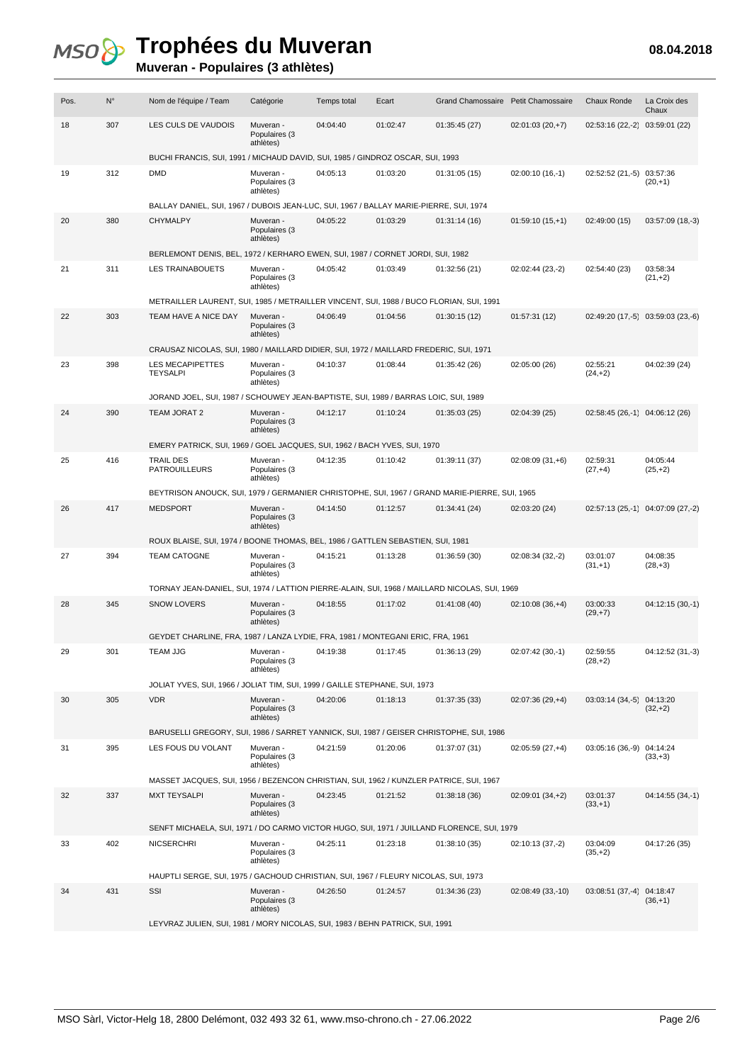| Pos. | $N^{\circ}$ | Nom de l'équipe / Team                                                                        | Catégorie                               | Temps total | Ecart    | Grand Chamossaire Petit Chamossaire |                   | Chaux Ronde                    | La Croix des<br>Chaux              |  |  |
|------|-------------|-----------------------------------------------------------------------------------------------|-----------------------------------------|-------------|----------|-------------------------------------|-------------------|--------------------------------|------------------------------------|--|--|
| 18   | 307         | LES CULS DE VAUDOIS                                                                           | Muveran -<br>Populaires (3<br>athlètes) | 04:04:40    | 01:02:47 | 01:35:45 (27)                       | $02:01:03(20,+7)$ | 02:53:16 (22,-2)               | 03:59:01 (22)                      |  |  |
|      |             | BUCHI FRANCIS, SUI, 1991 / MICHAUD DAVID, SUI, 1985 / GINDROZ OSCAR, SUI, 1993                |                                         |             |          |                                     |                   |                                |                                    |  |  |
| 19   | 312         | <b>DMD</b>                                                                                    | Muveran -<br>Populaires (3<br>athlètes) | 04:05:13    | 01:03:20 | 01:31:05(15)                        | 02:00:10 (16,-1)  | $02:52:52(21,-5)$              | 03:57:36<br>$(20, +1)$             |  |  |
|      |             | BALLAY DANIEL, SUI, 1967 / DUBOIS JEAN-LUC, SUI, 1967 / BALLAY MARIE-PIERRE, SUI, 1974        |                                         |             |          |                                     |                   |                                |                                    |  |  |
| 20   | 380         | CHYMALPY                                                                                      | Muveran -<br>Populaires (3<br>athlètes) | 04:05:22    | 01:03:29 | 01:31:14(16)                        | $01:59:10(15,+1)$ | 02:49:00 (15)                  | 03:57:09 (18,-3)                   |  |  |
|      |             | BERLEMONT DENIS, BEL, 1972 / KERHARO EWEN, SUI, 1987 / CORNET JORDI, SUI, 1982                |                                         |             |          |                                     |                   |                                |                                    |  |  |
| 21   | 311         | LES TRAINABOUETS                                                                              | Muveran -<br>Populaires (3<br>athlètes) | 04:05:42    | 01:03:49 | 01:32:56 (21)                       | 02:02:44 (23,-2)  | 02:54:40 (23)                  | 03:58:34<br>$(21,+2)$              |  |  |
|      |             | METRAILLER LAURENT, SUI, 1985 / METRAILLER VINCENT, SUI, 1988 / BUCO FLORIAN, SUI, 1991       |                                         |             |          |                                     |                   |                                |                                    |  |  |
| 22   | 303         | TEAM HAVE A NICE DAY                                                                          | Muveran -<br>Populaires (3<br>athlètes) | 04:06:49    | 01:04:56 | 01:30:15(12)                        | 01:57:31(12)      |                                | 02:49:20 (17, -5 03:59:03 (23, -6) |  |  |
|      |             | CRAUSAZ NICOLAS, SUI, 1980 / MAILLARD DIDIER, SUI, 1972 / MAILLARD FREDERIC, SUI, 1971        |                                         |             |          |                                     |                   |                                |                                    |  |  |
| 23   | 398         | <b>LES MECAPIPETTES</b><br><b>TEYSALPI</b>                                                    | Muveran -<br>Populaires (3<br>athlètes) | 04:10:37    | 01:08:44 | 01:35:42 (26)                       | 02:05:00 (26)     | 02:55:21<br>$(24, +2)$         | 04:02:39 (24)                      |  |  |
|      |             | JORAND JOEL, SUI, 1987 / SCHOUWEY JEAN-BAPTISTE, SUI, 1989 / BARRAS LOIC, SUI, 1989           |                                         |             |          |                                     |                   |                                |                                    |  |  |
| 24   | 390         | TEAM JORAT 2                                                                                  | Muveran -<br>Populaires (3<br>athlètes) | 04:12:17    | 01:10:24 | 01:35:03(25)                        | 02:04:39 (25)     | 02:58:45 (26,-1) 04:06:12 (26) |                                    |  |  |
|      |             | EMERY PATRICK, SUI, 1969 / GOEL JACQUES, SUI, 1962 / BACH YVES, SUI, 1970                     |                                         |             |          |                                     |                   |                                |                                    |  |  |
| 25   | 416         | TRAIL DES<br>PATROUILLEURS                                                                    | Muveran -<br>Populaires (3<br>athlètes) | 04:12:35    | 01:10:42 | 01:39:11 (37)                       | $02:08:09(31,+6)$ | 02:59:31<br>$(27,+4)$          | 04:05:44<br>$(25, +2)$             |  |  |
|      |             | BEYTRISON ANOUCK, SUI, 1979 / GERMANIER CHRISTOPHE, SUI, 1967 / GRAND MARIE-PIERRE, SUI, 1965 |                                         |             |          |                                     |                   |                                |                                    |  |  |
| 26   | 417         | <b>MEDSPORT</b>                                                                               | Muveran -<br>Populaires (3<br>athlètes) | 04:14:50    | 01:12:57 | 01:34:41 (24)                       | 02:03:20 (24)     |                                | 02:57:13 (25,-1) 04:07:09 (27,-2)  |  |  |
|      |             | ROUX BLAISE, SUI, 1974 / BOONE THOMAS, BEL, 1986 / GATTLEN SEBASTIEN, SUI, 1981               |                                         |             |          |                                     |                   |                                |                                    |  |  |
| 27   | 394         | <b>TEAM CATOGNE</b>                                                                           | Muveran -<br>Populaires (3<br>athlètes) | 04:15:21    | 01:13:28 | 01:36:59 (30)                       | 02:08:34 (32,-2)  | 03:01:07<br>$(31, +1)$         | 04:08:35<br>$(28, +3)$             |  |  |
|      |             | TORNAY JEAN-DANIEL, SUI, 1974 / LATTION PIERRE-ALAIN, SUI, 1968 / MAILLARD NICOLAS, SUI, 1969 |                                         |             |          |                                     |                   |                                |                                    |  |  |
| 28   | 345         | <b>SNOW LOVERS</b>                                                                            | Muveran -<br>Populaires (3<br>athlètes) | 04:18:55    | 01:17:02 | 01:41:08 (40)                       | $02:10:08(36,+4)$ | 03:00:33<br>$(29, +7)$         | 04:12:15 (30,-1)                   |  |  |
|      |             | GEYDET CHARLINE, FRA, 1987 / LANZA LYDIE, FRA, 1981 / MONTEGANI ERIC, FRA, 1961               |                                         |             |          |                                     |                   |                                |                                    |  |  |
| 29   | 301         | <b>TEAM JJG</b>                                                                               | Muveran -<br>Populaires (3<br>athlètes) | 04:19:38    | 01:17:45 | 01:36:13 (29)                       | 02:07:42 (30,-1)  | 02:59:55<br>$(28, +2)$         | 04:12:52 (31,-3)                   |  |  |
|      |             | JOLIAT YVES, SUI, 1966 / JOLIAT TIM, SUI, 1999 / GAILLE STEPHANE, SUI, 1973                   |                                         |             |          |                                     |                   |                                |                                    |  |  |
| 30   | 305         | <b>VDR</b>                                                                                    | Muveran -<br>Populaires (3<br>athlètes) | 04:20:06    | 01:18:13 | 01:37:35 (33)                       | $02:07:36(29,+4)$ | 03:03:14 (34,-5) 04:13:20      | $(32,+2)$                          |  |  |
|      |             | BARUSELLI GREGORY, SUI, 1986 / SARRET YANNICK, SUI, 1987 / GEISER CHRISTOPHE, SUI, 1986       |                                         |             |          |                                     |                   |                                |                                    |  |  |
| 31   | 395         | LES FOUS DU VOLANT                                                                            | Muveran -<br>Populaires (3<br>athlètes) | 04:21:59    | 01:20:06 | 01:37:07 (31)                       | $02:05:59(27,+4)$ | 03:05:16 (36,-9) 04:14:24      | $(33, +3)$                         |  |  |
|      |             | MASSET JACQUES, SUI, 1956 / BEZENCON CHRISTIAN, SUI, 1962 / KUNZLER PATRICE, SUI, 1967        |                                         |             |          |                                     |                   |                                |                                    |  |  |
| 32   | 337         | <b>MXT TEYSALPI</b>                                                                           | Muveran -<br>Populaires (3<br>athlètes) | 04:23:45    | 01:21:52 | 01:38:18(36)                        | 02:09:01 (34,+2)  | 03:01:37<br>$(33,+1)$          | 04:14:55 (34,-1)                   |  |  |
|      |             | SENFT MICHAELA, SUI, 1971 / DO CARMO VICTOR HUGO, SUI, 1971 / JUILLAND FLORENCE, SUI, 1979    |                                         |             |          |                                     |                   |                                |                                    |  |  |
| 33   | 402         | <b>NICSERCHRI</b>                                                                             | Muveran -<br>Populaires (3<br>athlètes) | 04:25:11    | 01:23:18 | 01:38:10 (35)                       | 02:10:13 (37,-2)  | 03:04:09<br>$(35, +2)$         | 04:17:26 (35)                      |  |  |
|      |             | HAUPTLI SERGE, SUI, 1975 / GACHOUD CHRISTIAN, SUI, 1967 / FLEURY NICOLAS, SUI, 1973           |                                         |             |          |                                     |                   |                                |                                    |  |  |
| 34   | 431         | SSI                                                                                           | Muveran -<br>Populaires (3<br>athlètes) | 04:26:50    | 01:24:57 | 01:34:36 (23)                       | 02:08:49 (33,-10) | 03:08:51 (37,-4) 04:18:47      | $(36, +1)$                         |  |  |
|      |             | LEYVRAZ JULIEN, SUI, 1981 / MORY NICOLAS, SUI, 1983 / BEHN PATRICK, SUI, 1991                 |                                         |             |          |                                     |                   |                                |                                    |  |  |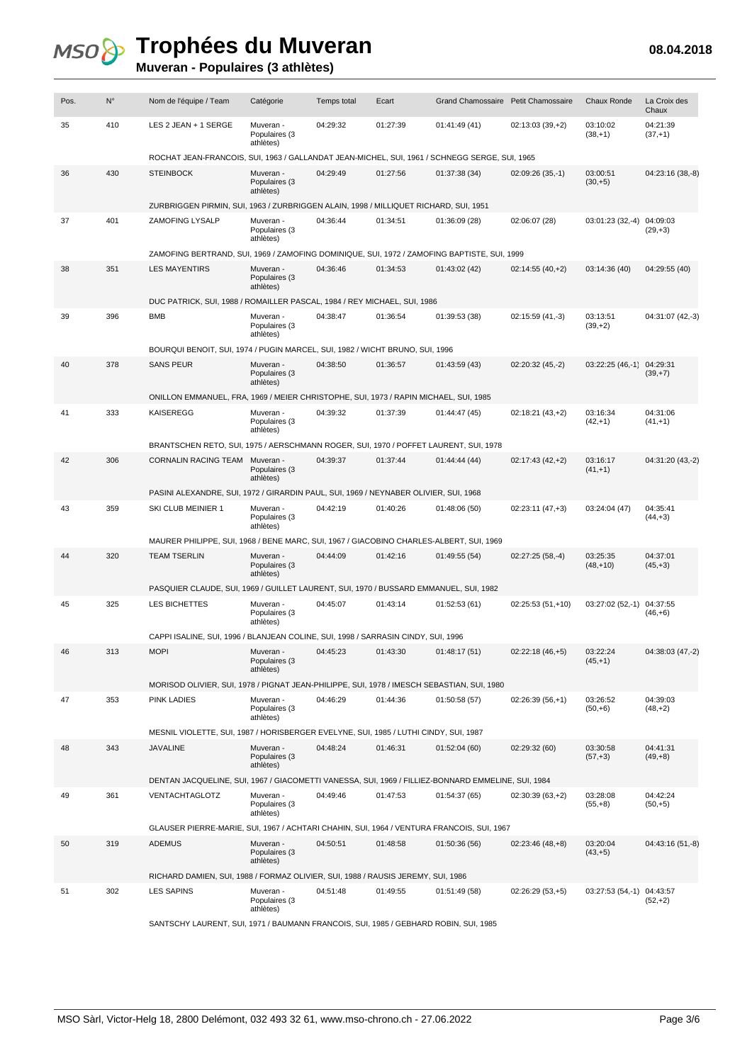#### **Muveran - Populaires (3 athlètes)**

| Pos. | $N^{\circ}$ | Nom de l'équipe / Team                                                                             | Catégorie                               | Temps total | Ecart    | Grand Chamossaire Petit Chamossaire |                   | <b>Chaux Ronde</b>        | La Croix des<br>Chaux  |
|------|-------------|----------------------------------------------------------------------------------------------------|-----------------------------------------|-------------|----------|-------------------------------------|-------------------|---------------------------|------------------------|
| 35   | 410         | LES 2 JEAN + 1 SERGE                                                                               | Muveran -<br>Populaires (3<br>athlètes) | 04:29:32    | 01:27:39 | 01:41:49 (41)                       | $02:13:03(39,+2)$ | 03:10:02<br>$(38, +1)$    | 04:21:39<br>$(37,+1)$  |
|      |             | ROCHAT JEAN-FRANCOIS, SUI, 1963 / GALLANDAT JEAN-MICHEL, SUI, 1961 / SCHNEGG SERGE, SUI, 1965      |                                         |             |          |                                     |                   |                           |                        |
| 36   | 430         | <b>STEINBOCK</b>                                                                                   | Muveran -<br>Populaires (3<br>athlètes) | 04:29:49    | 01:27:56 | 01:37:38 (34)                       | $02:09:26(35,-1)$ | 03:00:51<br>$(30, +5)$    | 04:23:16 (38,-8)       |
|      |             | ZURBRIGGEN PIRMIN, SUI, 1963 / ZURBRIGGEN ALAIN, 1998 / MILLIQUET RICHARD, SUI, 1951               |                                         |             |          |                                     |                   |                           |                        |
| 37   | 401         | ZAMOFING LYSALP                                                                                    | Muveran -<br>Populaires (3<br>athlètes) | 04:36:44    | 01:34:51 | 01:36:09 (28)                       | 02:06:07 (28)     | 03:01:23 (32,-4) 04:09:03 | $(29, +3)$             |
|      |             | ZAMOFING BERTRAND, SUI, 1969 / ZAMOFING DOMINIQUE, SUI, 1972 / ZAMOFING BAPTISTE, SUI, 1999        |                                         |             |          |                                     |                   |                           |                        |
| 38   | 351         | <b>LES MAYENTIRS</b>                                                                               | Muveran -<br>Populaires (3<br>athlètes) | 04:36:46    | 01:34:53 | 01:43:02 (42)                       | $02:14:55(40,+2)$ | 03:14:36 (40)             | 04:29:55 (40)          |
|      |             | DUC PATRICK, SUI, 1988 / ROMAILLER PASCAL, 1984 / REY MICHAEL, SUI, 1986                           |                                         |             |          |                                     |                   |                           |                        |
| 39   | 396         | <b>BMB</b>                                                                                         | Muveran -<br>Populaires (3<br>athlètes) | 04:38:47    | 01:36:54 | 01:39:53 (38)                       | 02:15:59 (41,-3)  | 03:13:51<br>$(39, +2)$    | 04:31:07 (42,-3)       |
|      |             | BOURQUI BENOIT, SUI, 1974 / PUGIN MARCEL, SUI, 1982 / WICHT BRUNO, SUI, 1996                       |                                         |             |          |                                     |                   |                           |                        |
| 40   | 378         | <b>SANS PEUR</b>                                                                                   | Muveran -<br>Populaires (3<br>athlètes) | 04:38:50    | 01:36:57 | 01:43:59 (43)                       | 02:20:32 (45,-2)  | 03:22:25 (46,-1) 04:29:31 | $(39, +7)$             |
|      |             | ONILLON EMMANUEL, FRA, 1969 / MEIER CHRISTOPHE, SUI, 1973 / RAPIN MICHAEL, SUI, 1985               |                                         |             |          |                                     |                   |                           |                        |
| 41   | 333         | <b>KAISEREGG</b>                                                                                   | Muveran -<br>Populaires (3<br>athlètes) | 04:39:32    | 01:37:39 | 01:44:47 (45)                       | 02:18:21 (43,+2)  | 03:16:34<br>$(42,+1)$     | 04:31:06<br>$(41, +1)$ |
|      |             | BRANTSCHEN RETO, SUI, 1975 / AERSCHMANN ROGER, SUI, 1970 / POFFET LAURENT, SUI, 1978               |                                         |             |          |                                     |                   |                           |                        |
| 42   | 306         | <b>CORNALIN RACING TEAM</b>                                                                        | Muveran -<br>Populaires (3<br>athlètes) | 04:39:37    | 01:37:44 | 01:44:44 (44)                       | $02:17:43(42,+2)$ | 03:16:17<br>$(41, +1)$    | 04:31:20 (43,-2)       |
|      |             | PASINI ALEXANDRE, SUI, 1972 / GIRARDIN PAUL, SUI, 1969 / NEYNABER OLIVIER, SUI, 1968               |                                         |             |          |                                     |                   |                           |                        |
| 43   | 359         | SKI CLUB MEINIER 1                                                                                 | Muveran -<br>Populaires (3<br>athlètes) | 04:42:19    | 01:40:26 | 01:48:06 (50)                       | $02:23:11(47,+3)$ | 03:24:04 (47)             | 04:35:41<br>$(44, +3)$ |
|      |             | MAURER PHILIPPE, SUI, 1968 / BENE MARC, SUI, 1967 / GIACOBINO CHARLES-ALBERT, SUI, 1969            |                                         |             |          |                                     |                   |                           |                        |
| 44   | 320         | <b>TEAM TSERLIN</b>                                                                                | Muveran -<br>Populaires (3<br>athlètes) | 04:44:09    | 01:42:16 | 01:49:55 (54)                       | $02:27:25(58,-4)$ | 03:25:35<br>$(48, +10)$   | 04:37:01<br>$(45, +3)$ |
|      |             | PASQUIER CLAUDE, SUI, 1969 / GUILLET LAURENT, SUI, 1970 / BUSSARD EMMANUEL, SUI, 1982              |                                         |             |          |                                     |                   |                           |                        |
| 45   | 325         | LES BICHETTES                                                                                      | Muveran -<br>Populaires (3<br>athlètes) | 04:45:07    | 01:43:14 | 01:52:53(61)                        | 02:25:53 (51,+10) | $03:27:02(52,-1)$         | 04:37:55<br>$(46, +6)$ |
|      |             | CAPPI ISALINE, SUI, 1996 / BLANJEAN COLINE, SUI, 1998 / SARRASIN CINDY, SUI, 1996                  |                                         |             |          |                                     |                   |                           |                        |
| 46   | 313         | <b>MOPI</b>                                                                                        | Muveran -<br>Populaires (3<br>athlètes) | 04:45:23    | 01:43:30 | 01:48:17(51)                        | $02:22:18(46,+5)$ | 03:22:24<br>$(45, +1)$    | 04:38:03 (47,-2)       |
|      |             | MORISOD OLIVIER, SUI, 1978 / PIGNAT JEAN-PHILIPPE, SUI, 1978 / IMESCH SEBASTIAN, SUI, 1980         |                                         |             |          |                                     |                   |                           |                        |
| 47   | 353         | <b>PINK LADIES</b>                                                                                 | Muveran -<br>Populaires (3<br>athlètes) | 04:46:29    | 01:44:36 | 01:50:58(57)                        | $02:26:39(56,+1)$ | 03:26:52<br>$(50, +6)$    | 04:39:03<br>$(48, +2)$ |
|      |             | MESNIL VIOLETTE, SUI, 1987 / HORISBERGER EVELYNE, SUI, 1985 / LUTHI CINDY, SUI, 1987               |                                         |             |          |                                     |                   |                           |                        |
| 48   | 343         | <b>JAVALINE</b>                                                                                    | Muveran -<br>Populaires (3<br>athlètes) | 04:48:24    | 01:46:31 | 01:52:04(60)                        | 02:29:32 (60)     | 03:30:58<br>$(57,+3)$     | 04:41:31<br>$(49, +8)$ |
|      |             | DENTAN JACQUELINE, SUI, 1967 / GIACOMETTI VANESSA, SUI, 1969 / FILLIEZ-BONNARD EMMELINE, SUI, 1984 |                                         |             |          |                                     |                   |                           |                        |
| 49   | 361         | <b>VENTACHTAGLOTZ</b>                                                                              | Muveran -<br>Populaires (3<br>athlètes) | 04:49:46    | 01:47:53 | 01:54:37 (65)                       | $02:30:39(63,+2)$ | 03:28:08<br>$(55,+8)$     | 04:42:24<br>$(50, +5)$ |
|      |             | GLAUSER PIERRE-MARIE, SUI, 1967 / ACHTARI CHAHIN, SUI, 1964 / VENTURA FRANCOIS, SUI, 1967          |                                         |             |          |                                     |                   |                           |                        |
| 50   | 319         | <b>ADEMUS</b>                                                                                      | Muveran -<br>Populaires (3<br>athlètes) | 04:50:51    | 01:48:58 | 01:50:36 (56)                       | $02:23:46(48,+8)$ | 03:20:04<br>$(43, +5)$    | 04:43:16 (51,-8)       |
|      |             | RICHARD DAMIEN, SUI, 1988 / FORMAZ OLIVIER, SUI, 1988 / RAUSIS JEREMY, SUI, 1986                   |                                         |             |          |                                     |                   |                           |                        |
| 51   | 302         | <b>LES SAPINS</b>                                                                                  | Muveran -<br>Populaires (3<br>athlètes) | 04:51:48    | 01:49:55 | 01:51:49 (58)                       | $02:26:29(53,+5)$ | 03:27:53 (54,-1) 04:43:57 | $(52,+2)$              |
|      |             | CANTCOUV LAUDENT CUL 1071 / RAUMANN EDANOOIS SUL 1095 / CERHARD PORIN SUL 1095                     |                                         |             |          |                                     |                   |                           |                        |

SANTSCHY LAURENT, SUI, 1971 / BAUMANN FRANCOIS, SUI, 1985 / GEBHARD ROBIN, SUI, 1985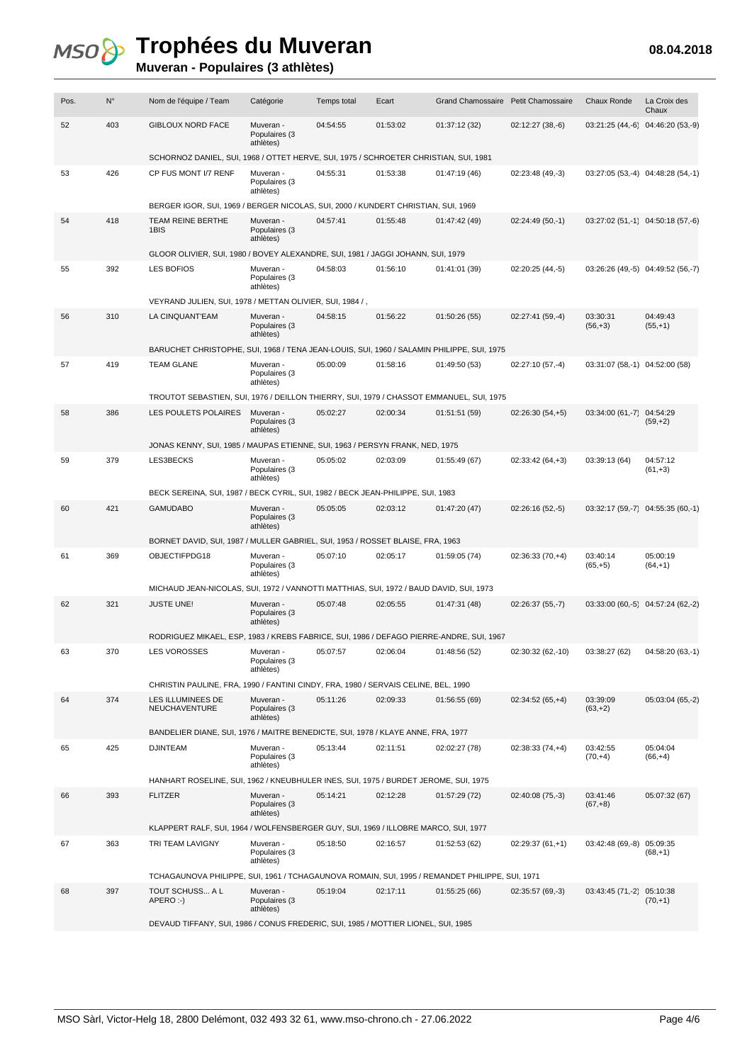### **Muveran - Populaires (3 athlètes)**

| Pos. | $N^{\circ}$ | Nom de l'équipe / Team                                                                         | Catégorie                               | Temps total | Ecart    | Grand Chamossaire Petit Chamossaire |                   | <b>Chaux Ronde</b>             | La Croix des<br>Chaux             |  |  |
|------|-------------|------------------------------------------------------------------------------------------------|-----------------------------------------|-------------|----------|-------------------------------------|-------------------|--------------------------------|-----------------------------------|--|--|
| 52   | 403         | <b>GIBLOUX NORD FACE</b>                                                                       | Muveran -<br>Populaires (3<br>athlètes) | 04:54:55    | 01:53:02 | 01:37:12 (32)                       | $02:12:27(38,-6)$ | $03:21:25(44,-6)$              | $04:46:20(53,-9)$                 |  |  |
|      |             | SCHORNOZ DANIEL, SUI, 1968 / OTTET HERVE, SUI, 1975 / SCHROETER CHRISTIAN, SUI, 1981           |                                         |             |          |                                     |                   |                                |                                   |  |  |
| 53   | 426         | CP FUS MONT I/7 RENF                                                                           | Muveran -<br>Populaires (3<br>athlètes) | 04:55:31    | 01:53:38 | 01:47:19 (46)                       | 02:23:48 (49,-3)  |                                | 03:27:05 (53,-4) 04:48:28 (54,-1) |  |  |
|      |             | BERGER IGOR, SUI, 1969 / BERGER NICOLAS, SUI, 2000 / KUNDERT CHRISTIAN, SUI, 1969              |                                         |             |          |                                     |                   |                                |                                   |  |  |
| 54   | 418         | TEAM REINE BERTHE<br>1BIS                                                                      | Muveran -<br>Populaires (3<br>athlètes) | 04:57:41    | 01:55:48 | 01:47:42 (49)                       | 02:24:49 (50,-1)  |                                | 03:27:02 (51,-1) 04:50:18 (57,-6) |  |  |
|      |             | GLOOR OLIVIER, SUI, 1980 / BOVEY ALEXANDRE, SUI, 1981 / JAGGI JOHANN, SUI, 1979                |                                         |             |          |                                     |                   |                                |                                   |  |  |
| 55   | 392         | <b>LES BOFIOS</b>                                                                              | Muveran -<br>Populaires (3<br>athlètes) | 04:58:03    | 01:56:10 | 01:41:01 (39)                       | 02:20:25 (44,-5)  |                                | 03:26:26 (49,-5) 04:49:52 (56,-7) |  |  |
|      |             | VEYRAND JULIEN, SUI, 1978 / METTAN OLIVIER, SUI, 1984 /,                                       |                                         |             |          |                                     |                   |                                |                                   |  |  |
| 56   | 310         | LA CINQUANT'EAM                                                                                | Muveran -<br>Populaires (3<br>athlètes) | 04:58:15    | 01:56:22 | 01:50:26(55)                        | $02:27:41(59,-4)$ | 03:30:31<br>$(56,+3)$          | 04:49:43<br>$(55,+1)$             |  |  |
|      |             | BARUCHET CHRISTOPHE, SUI, 1968 / TENA JEAN-LOUIS, SUI, 1960 / SALAMIN PHILIPPE, SUI, 1975      |                                         |             |          |                                     |                   |                                |                                   |  |  |
| 57   | 419         | <b>TEAM GLANE</b>                                                                              | Muveran -<br>Populaires (3<br>athlètes) | 05:00:09    | 01:58:16 | 01:49:50 (53)                       | 02:27:10 (57,-4)  | 03:31:07 (58,-1) 04:52:00 (58) |                                   |  |  |
|      |             | TROUTOT SEBASTIEN, SUI, 1976 / DEILLON THIERRY, SUI, 1979 / CHASSOT EMMANUEL, SUI, 1975        |                                         |             |          |                                     |                   |                                |                                   |  |  |
| 58   | 386         | <b>LES POULETS POLAIRES</b>                                                                    | Muveran -<br>Populaires (3<br>athlètes) | 05:02:27    | 02:00:34 | 01:51:51 (59)                       | $02:26:30(54,+5)$ | 03:34:00 (61,-7)               | 04:54:29<br>$(59, +2)$            |  |  |
|      |             | JONAS KENNY, SUI, 1985 / MAUPAS ETIENNE, SUI, 1963 / PERSYN FRANK, NED, 1975                   |                                         |             |          |                                     |                   |                                |                                   |  |  |
| 59   | 379         | LES3BECKS                                                                                      | Muveran -<br>Populaires (3<br>athlètes) | 05:05:02    | 02:03:09 | 01:55:49 (67)                       | $02:33:42(64,+3)$ | 03:39:13 (64)                  | 04:57:12<br>$(61,+3)$             |  |  |
|      |             | BECK SEREINA, SUI, 1987 / BECK CYRIL, SUI, 1982 / BECK JEAN-PHILIPPE, SUI, 1983                |                                         |             |          |                                     |                   |                                |                                   |  |  |
| 60   | 421         | <b>GAMUDABO</b>                                                                                | Muveran -<br>Populaires (3<br>athlètes) | 05:05:05    | 02:03:12 | 01:47:20 (47)                       | 02:26:16 (52,-5)  |                                | 03:32:17 (59,-7) 04:55:35 (60,-1) |  |  |
|      |             | BORNET DAVID, SUI, 1987 / MULLER GABRIEL, SUI, 1953 / ROSSET BLAISE, FRA, 1963                 |                                         |             |          |                                     |                   |                                |                                   |  |  |
| 61   | 369         | OBJECTIFPDG18                                                                                  | Muveran -<br>Populaires (3<br>athlètes) | 05:07:10    | 02:05:17 | 01:59:05 (74)                       | $02:36:33(70,+4)$ | 03:40:14<br>$(65,+5)$          | 05:00:19<br>$(64, +1)$            |  |  |
|      |             | MICHAUD JEAN-NICOLAS, SUI, 1972 / VANNOTTI MATTHIAS, SUI, 1972 / BAUD DAVID, SUI, 1973         |                                         |             |          |                                     |                   |                                |                                   |  |  |
| 62   | 321         | <b>JUSTE UNE!</b>                                                                              | Muveran -<br>Populaires (3<br>athlètes) | 05:07:48    | 02:05:55 | 01:47:31 (48)                       | $02:26:37(55,-7)$ | $03:33:00(60,-5)$              | 04:57:24 (62,-2)                  |  |  |
|      |             | RODRIGUEZ MIKAEL, ESP, 1983 / KREBS FABRICE, SUI, 1986 / DEFAGO PIERRE-ANDRE, SUI, 1967        |                                         |             |          |                                     |                   |                                |                                   |  |  |
| 63   | 370         | <b>LES VOROSSES</b>                                                                            | Muveran -<br>Populaires (3<br>athlètes) | 05:07:57    | 02:06:04 | 01:48:56 (52)                       | 02:30:32 (62,-10) | 03:38:27 (62)                  | 04:58:20 (63,-1)                  |  |  |
|      |             | CHRISTIN PAULINE, FRA, 1990 / FANTINI CINDY, FRA, 1980 / SERVAIS CELINE, BEL, 1990             |                                         |             |          |                                     |                   |                                |                                   |  |  |
| 64   | 374         | LES ILLUMINEES DE<br><b>NEUCHAVENTURE</b>                                                      | Muveran -<br>Populaires (3<br>athlètes) | 05:11:26    | 02:09:33 | 01:56:55 (69)                       | $02:34:52(65,+4)$ | 03:39:09<br>$(63, +2)$         | 05:03:04 (65,-2)                  |  |  |
|      |             | BANDELIER DIANE, SUI, 1976 / MAITRE BENEDICTE, SUI, 1978 / KLAYE ANNE, FRA, 1977               |                                         |             |          |                                     |                   |                                |                                   |  |  |
| 65   | 425         | <b>DJINTEAM</b>                                                                                | Muveran -<br>Populaires (3<br>athlètes) | 05:13:44    | 02:11:51 | 02:02:27 (78)                       | $02:38:33(74,+4)$ | 03:42:55<br>$(70,+4)$          | 05:04:04<br>$(66, +4)$            |  |  |
|      |             | HANHART ROSELINE, SUI, 1962 / KNEUBHULER INES, SUI, 1975 / BURDET JEROME, SUI, 1975            |                                         |             |          |                                     |                   |                                |                                   |  |  |
| 66   | 393         | <b>FLITZER</b>                                                                                 | Muveran -<br>Populaires (3<br>athlètes) | 05:14:21    | 02:12:28 | 01:57:29(72)                        | 02:40:08 (75,-3)  | 03:41:46<br>$(67,+8)$          | 05:07:32 (67)                     |  |  |
|      |             | KLAPPERT RALF, SUI, 1964 / WOLFENSBERGER GUY, SUI, 1969 / ILLOBRE MARCO, SUI, 1977             |                                         |             |          |                                     |                   |                                |                                   |  |  |
| 67   | 363         | TRI TEAM LAVIGNY                                                                               | Muveran -<br>Populaires (3<br>athlètes) | 05:18:50    | 02:16:57 | 01:52:53 (62)                       | $02:29:37(61,+1)$ | $03:42:48(69,-8)$              | 05:09:35<br>$(68, +1)$            |  |  |
|      |             | TCHAGAUNOVA PHILIPPE, SUI, 1961 / TCHAGAUNOVA ROMAIN, SUI, 1995 / REMANDET PHILIPPE, SUI, 1971 |                                         |             |          |                                     |                   |                                |                                   |  |  |
| 68   | 397         | TOUT SCHUSS A L<br>APERO:-)                                                                    | Muveran -<br>Populaires (3<br>athlètes) | 05:19:04    | 02:17:11 | 01:55:25 (66)                       | 02:35:57 (69,-3)  | 03:43:45 (71,-2) 05:10:38      | $(70,+1)$                         |  |  |
|      |             | DEVAUD TIFFANY, SUI, 1986 / CONUS FREDERIC, SUI, 1985 / MOTTIER LIONEL, SUI, 1985              |                                         |             |          |                                     |                   |                                |                                   |  |  |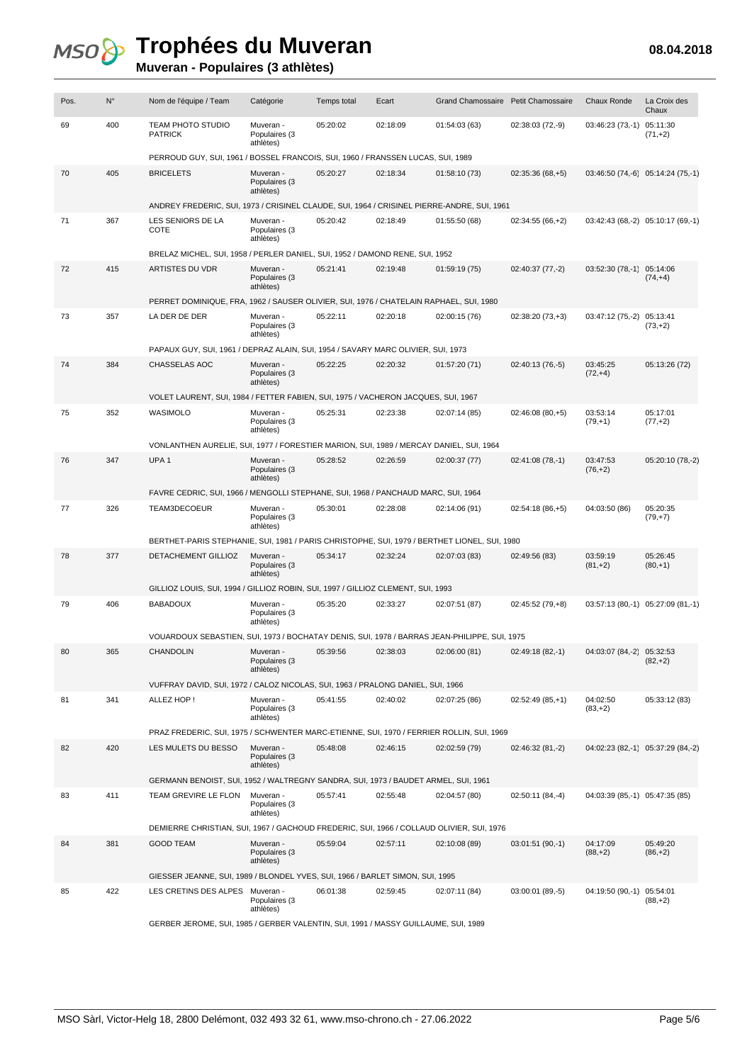| Pos. | $N^{\circ}$ | Nom de l'équipe / Team                                                                       | Catégorie                               | <b>Temps total</b> | Ecart    | Grand Chamossaire Petit Chamossaire |                   | Chaux Ronde                    | La Croix des<br>Chaux               |
|------|-------------|----------------------------------------------------------------------------------------------|-----------------------------------------|--------------------|----------|-------------------------------------|-------------------|--------------------------------|-------------------------------------|
| 69   | 400         | <b>TEAM PHOTO STUDIO</b><br><b>PATRICK</b>                                                   | Muveran -<br>Populaires (3<br>athlètes) | 05:20:02           | 02:18:09 | 01:54:03 (63)                       | 02:38:03 (72,-9)  | $03:46:23(73,-1)$              | 05:11:30<br>$(71,+2)$               |
|      |             | PERROUD GUY, SUI, 1961 / BOSSEL FRANCOIS, SUI, 1960 / FRANSSEN LUCAS, SUI, 1989              |                                         |                    |          |                                     |                   |                                |                                     |
| 70   | 405         | <b>BRICELETS</b>                                                                             | Muveran -<br>Populaires (3<br>athlètes) | 05:20:27           | 02:18:34 | 01:58:10 (73)                       | $02:35:36(68,+5)$ |                                | $03:46:50(74,-6)$ $05:14:24(75,-1)$ |
|      |             | ANDREY FREDERIC, SUI, 1973 / CRISINEL CLAUDE, SUI, 1964 / CRISINEL PIERRE-ANDRE, SUI, 1961   |                                         |                    |          |                                     |                   |                                |                                     |
| 71   | 367         | LES SENIORS DE LA<br>COTE                                                                    | Muveran -<br>Populaires (3<br>athlètes) | 05:20:42           | 02:18:49 | 01:55:50 (68)                       | $02:34:55(66,+2)$ |                                | 03:42:43 (68,-2) 05:10:17 (69,-1)   |
|      |             | BRELAZ MICHEL, SUI, 1958 / PERLER DANIEL, SUI, 1952 / DAMOND RENE, SUI, 1952                 |                                         |                    |          |                                     |                   |                                |                                     |
| 72   | 415         | ARTISTES DU VDR                                                                              | Muveran -<br>Populaires (3<br>athlètes) | 05:21:41           | 02:19:48 | 01:59:19 (75)                       | 02:40:37 (77,-2)  | 03:52:30 (78,-1) 05:14:06      | $(74, +4)$                          |
|      |             | PERRET DOMINIQUE, FRA, 1962 / SAUSER OLIVIER, SUI, 1976 / CHATELAIN RAPHAEL, SUI, 1980       |                                         |                    |          |                                     |                   |                                |                                     |
| 73   | 357         | LA DER DE DER                                                                                | Muveran -<br>Populaires (3<br>athlètes) | 05:22:11           | 02:20:18 | 02:00:15 (76)                       | $02:38:20(73,+3)$ | 03:47:12 (75,-2) 05:13:41      | $(73, +2)$                          |
|      |             | PAPAUX GUY, SUI, 1961 / DEPRAZ ALAIN, SUI, 1954 / SAVARY MARC OLIVIER, SUI, 1973             |                                         |                    |          |                                     |                   |                                |                                     |
| 74   | 384         | CHASSELAS AOC                                                                                | Muveran -<br>Populaires (3<br>athlètes) | 05:22:25           | 02:20:32 | 01:57:20 (71)                       | 02:40:13 (76,-5)  | 03:45:25<br>$(72,+4)$          | 05:13:26 (72)                       |
|      |             | VOLET LAURENT, SUI, 1984 / FETTER FABIEN, SUI, 1975 / VACHERON JACQUES, SUI, 1967            |                                         |                    |          |                                     |                   |                                |                                     |
| 75   | 352         | WASIMOLO                                                                                     | Muveran -<br>Populaires (3<br>athlètes) | 05:25:31           | 02:23:38 | 02:07:14 (85)                       | $02:46:08(80,+5)$ | 03:53:14<br>$(79, +1)$         | 05:17:01<br>$(77,+2)$               |
|      |             | VONLANTHEN AURELIE, SUI, 1977 / FORESTIER MARION, SUI, 1989 / MERCAY DANIEL, SUI, 1964       |                                         |                    |          |                                     |                   |                                |                                     |
| 76   | 347         | UPA <sub>1</sub>                                                                             | Muveran -<br>Populaires (3<br>athlètes) | 05:28:52           | 02:26:59 | 02:00:37 (77)                       | 02:41:08 (78,-1)  | 03:47:53<br>$(76, +2)$         | 05:20:10 (78,-2)                    |
|      |             | FAVRE CEDRIC, SUI, 1966 / MENGOLLI STEPHANE, SUI, 1968 / PANCHAUD MARC, SUI, 1964            |                                         |                    |          |                                     |                   |                                |                                     |
| 77   | 326         | TEAM3DECOEUR                                                                                 | Muveran -<br>Populaires (3<br>athlètes) | 05:30:01           | 02:28:08 | 02:14:06 (91)                       | $02:54:18(86,+5)$ | 04:03:50 (86)                  | 05:20:35<br>$(79, +7)$              |
|      |             | BERTHET-PARIS STEPHANIE, SUI, 1981 / PARIS CHRISTOPHE, SUI, 1979 / BERTHET LIONEL, SUI, 1980 |                                         |                    |          |                                     |                   |                                |                                     |
| 78   | 377         | DETACHEMENT GILLIOZ                                                                          | Muveran -<br>Populaires (3<br>athlètes) | 05:34:17           | 02:32:24 | 02:07:03 (83)                       | 02:49:56 (83)     | 03:59:19<br>$(81, +2)$         | 05:26:45<br>$(80, +1)$              |
|      |             | GILLIOZ LOUIS, SUI, 1994 / GILLIOZ ROBIN, SUI, 1997 / GILLIOZ CLEMENT, SUI, 1993             |                                         |                    |          |                                     |                   |                                |                                     |
| 79   | 406         | <b>BABADOUX</b>                                                                              | Muveran -<br>Populaires (3<br>athlètes) | 05:35:20           | 02:33:27 | 02:07:51 (87)                       | 02:45:52 (79,+8)  |                                | 03:57:13 (80,-1) 05:27:09 (81,-1)   |
|      |             | VOUARDOUX SEBASTIEN, SUI, 1973 / BOCHATAY DENIS, SUI, 1978 / BARRAS JEAN-PHILIPPE, SUI, 1975 |                                         |                    |          |                                     |                   |                                |                                     |
| 80   | 365         | <b>CHANDOLIN</b>                                                                             | Muveran -<br>Populaires (3<br>athlètes) | 05:39:56           | 02:38:03 | 02:06:00 (81)                       | 02:49:18 (82,-1)  | 04:03:07 (84,-2) 05:32:53      | $(82, +2)$                          |
|      |             | VUFFRAY DAVID, SUI, 1972 / CALOZ NICOLAS, SUI, 1963 / PRALONG DANIEL, SUI, 1966              |                                         |                    |          |                                     |                   |                                |                                     |
| 81   | 341         | ALLEZ HOP!                                                                                   | Muveran -<br>Populaires (3<br>athlètes) | 05:41:55           | 02:40:02 | 02:07:25 (86)                       | $02:52:49(85,+1)$ | 04:02:50<br>$(83, +2)$         | 05:33:12 (83)                       |
|      |             | PRAZ FREDERIC, SUI, 1975 / SCHWENTER MARC-ETIENNE, SUI, 1970 / FERRIER ROLLIN, SUI, 1969     |                                         |                    |          |                                     |                   |                                |                                     |
| 82   | 420         | LES MULETS DU BESSO                                                                          | Muveran -<br>Populaires (3<br>athlètes) | 05:48:08           | 02:46:15 | 02:02:59 (79)                       | 02:46:32 (81,-2)  |                                | 04:02:23 (82,-1) 05:37:29 (84,-2)   |
|      |             | GERMANN BENOIST, SUI, 1952 / WALTREGNY SANDRA, SUI, 1973 / BAUDET ARMEL, SUI, 1961           |                                         |                    |          |                                     |                   |                                |                                     |
| 83   | 411         | TEAM GREVIRE LE FLON                                                                         | Muveran -<br>Populaires (3<br>athlètes) | 05:57:41           | 02:55:48 | 02:04:57 (80)                       | 02:50:11 (84,-4)  | 04:03:39 (85,-1) 05:47:35 (85) |                                     |
|      |             | DEMIERRE CHRISTIAN, SUI, 1967 / GACHOUD FREDERIC, SUI, 1966 / COLLAUD OLIVIER, SUI, 1976     |                                         |                    |          |                                     |                   |                                |                                     |
| 84   | 381         | <b>GOOD TEAM</b>                                                                             | Muveran -<br>Populaires (3<br>athlètes) | 05:59:04           | 02:57:11 | 02:10:08 (89)                       | $03:01:51(90,-1)$ | 04:17:09<br>$(88, +2)$         | 05:49:20<br>$(86, +2)$              |
|      |             | GIESSER JEANNE, SUI, 1989 / BLONDEL YVES, SUI, 1966 / BARLET SIMON, SUI, 1995                |                                         |                    |          |                                     |                   |                                |                                     |
| 85   | 422         | LES CRETINS DES ALPES                                                                        | Muveran -<br>Populaires (3<br>athlètes) | 06:01:38           | 02:59:45 | 02:07:11 (84)                       | 03:00:01 (89,-5)  | 04:19:50 (90,-1) 05:54:01      | $(88, +2)$                          |
|      |             | GERBER JEROME, SUI, 1985 / GERBER VALENTIN, SUI, 1991 / MASSY GUILLAUME, SUI, 1989           |                                         |                    |          |                                     |                   |                                |                                     |